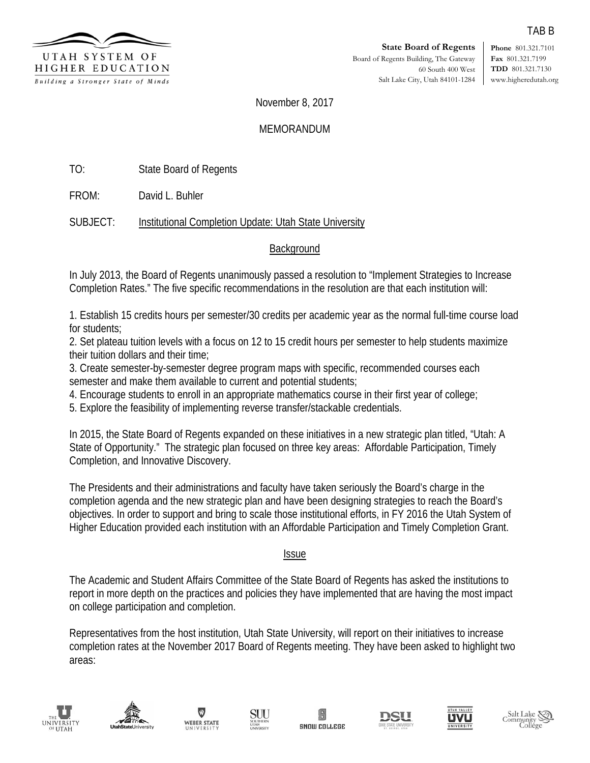

**Phone** 801.321.7101 **Fax** 801.321.7199 **TDD** 801.321.7130 www.higheredutah.org

November 8, 2017

## **MEMORANDUM**

TO: State Board of Regents

FROM: David L. Buhler

SUBJECT: Institutional Completion Update: Utah State University

## **Background**

In July 2013, the Board of Regents unanimously passed a resolution to "Implement Strategies to Increase Completion Rates." The five specific recommendations in the resolution are that each institution will:

1. Establish 15 credits hours per semester/30 credits per academic year as the normal full-time course load for students:

2. Set plateau tuition levels with a focus on 12 to 15 credit hours per semester to help students maximize their tuition dollars and their time;

3. Create semester-by-semester degree program maps with specific, recommended courses each semester and make them available to current and potential students;

4. Encourage students to enroll in an appropriate mathematics course in their first year of college;

5. Explore the feasibility of implementing reverse transfer/stackable credentials.

In 2015, the State Board of Regents expanded on these initiatives in a new strategic plan titled, "Utah: A State of Opportunity." The strategic plan focused on three key areas: Affordable Participation, Timely Completion, and Innovative Discovery.

The Presidents and their administrations and faculty have taken seriously the Board's charge in the completion agenda and the new strategic plan and have been designing strategies to reach the Board's objectives. In order to support and bring to scale those institutional efforts, in FY 2016 the Utah System of Higher Education provided each institution with an Affordable Participation and Timely Completion Grant.

## Issue

The Academic and Student Affairs Committee of the State Board of Regents has asked the institutions to report in more depth on the practices and policies they have implemented that are having the most impact on college participation and completion.

Representatives from the host institution, Utah State University, will report on their initiatives to increase completion rates at the November 2017 Board of Regents meeting. They have been asked to highlight two areas: